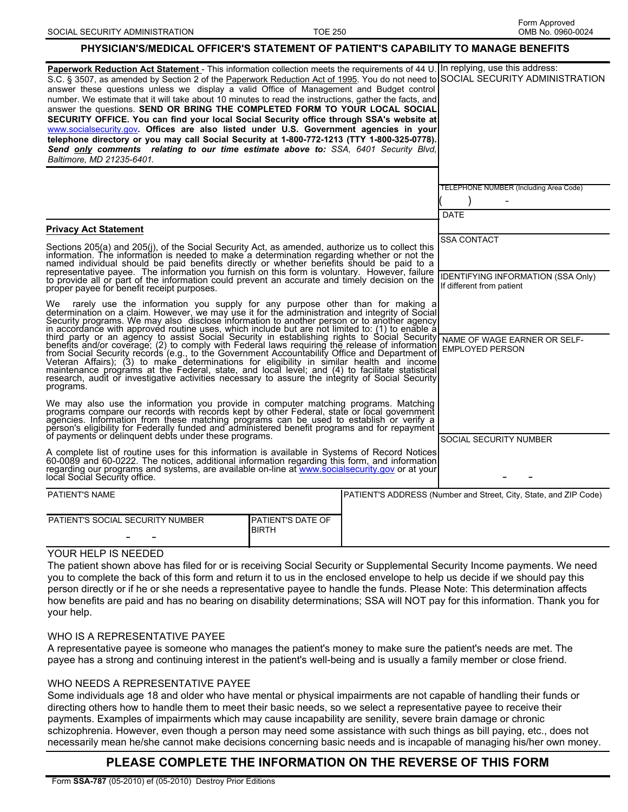### **PHYSICIAN'S/MEDICAL OFFICER'S STATEMENT OF PATIENT'S CAPABILITY TO MANAGE BENEFITS**

| Paperwork Reduction Act Statement - This information collection meets the requirements of 44 U. In replying, use this address:<br>S.C. § 3507, as amended by Section 2 of the Paperwork Reduction Act of 1995. You do not need to SOCIAL SECURITY ADMINISTRATION<br>answer these questions unless we display a valid Office of Management and Budget control<br>number. We estimate that it will take about 10 minutes to read the instructions, gather the facts, and<br>answer the questions. SEND OR BRING THE COMPLETED FORM TO YOUR LOCAL SOCIAL<br>SECURITY OFFICE. You can find your local Social Security office through SSA's website at<br>www.socialsecurity.gov. Offices are also listed under U.S. Government agencies in your<br>telephone directory or you may call Social Security at 1-800-772-1213 (TTY 1-800-325-0778).<br>Send only comments relating to our time estimate above to: SSA, 6401 Security Blvd,<br>Baltimore, MD 21235-6401. |                                                        |  |                                                                                              |
|----------------------------------------------------------------------------------------------------------------------------------------------------------------------------------------------------------------------------------------------------------------------------------------------------------------------------------------------------------------------------------------------------------------------------------------------------------------------------------------------------------------------------------------------------------------------------------------------------------------------------------------------------------------------------------------------------------------------------------------------------------------------------------------------------------------------------------------------------------------------------------------------------------------------------------------------------------------|--------------------------------------------------------|--|----------------------------------------------------------------------------------------------|
|                                                                                                                                                                                                                                                                                                                                                                                                                                                                                                                                                                                                                                                                                                                                                                                                                                                                                                                                                                |                                                        |  |                                                                                              |
|                                                                                                                                                                                                                                                                                                                                                                                                                                                                                                                                                                                                                                                                                                                                                                                                                                                                                                                                                                | TELEPHONE NUMBER (Including Area Code)                 |  |                                                                                              |
|                                                                                                                                                                                                                                                                                                                                                                                                                                                                                                                                                                                                                                                                                                                                                                                                                                                                                                                                                                |                                                        |  |                                                                                              |
|                                                                                                                                                                                                                                                                                                                                                                                                                                                                                                                                                                                                                                                                                                                                                                                                                                                                                                                                                                |                                                        |  | <b>DATE</b>                                                                                  |
|                                                                                                                                                                                                                                                                                                                                                                                                                                                                                                                                                                                                                                                                                                                                                                                                                                                                                                                                                                |                                                        |  |                                                                                              |
| <b>Privacy Act Statement</b>                                                                                                                                                                                                                                                                                                                                                                                                                                                                                                                                                                                                                                                                                                                                                                                                                                                                                                                                   |                                                        |  |                                                                                              |
| Sections 205(a) and 205(j), of the Social Security Act, as amended, authorize us to collect this<br>information. The information is needed to make a determination regarding whether or not the<br>named individual should be paid benefits directly or whether benefits should be paid to a<br>representative payee. The information you furnish on this form is voluntary. However, failure<br>to provide all or part of the information could prevent an accurate and timely decision on the<br>proper payee for benefit receipt purposes.                                                                                                                                                                                                                                                                                                                                                                                                                  |                                                        |  | <b>SSA CONTACT</b><br><b>IDENTIFYING INFORMATION (SSA Only)</b><br>If different from patient |
| We rarely use the information you supply for any purpose other than for making a determination on a claim. However, we may use it for the administration and integrity of Social Security programs. We may also disclose infor<br>in accordance with approved routine uses, which include but are not limited to: (1) to enable althird party or an agency to assist Social Security in establishing rights to Social Security that party or an agency to assist<br>benefits and/or coverage; (2) to comply with Federal laws requiring the release of information<br>from Social Security records (e.g., to the Government Accountability Office and Department of<br>Veteran Affairs); (3) to make det<br>maintenance programs at the Federal, state, and local level; and (4) to facilitate statistical<br>research, audit or investigative activities necessary to assure the integrity of Social Security<br>programs.                                    | NAME OF WAGE EARNER OR SELF-<br><b>EMPLOYED PERSON</b> |  |                                                                                              |
| We may also use the information you provide in computer matching programs. Matching<br>programs compare our records with records kept by other Federal, state or local government<br>agencies. Information from these matching programs can be used to establish or verify a<br>person's eligibility for Federally funded and administered benefit programs and for repayment<br>of payments or delinguent debts under these programs.                                                                                                                                                                                                                                                                                                                                                                                                                                                                                                                         | SOCIAL SECURITY NUMBER                                 |  |                                                                                              |
| A complete list of routine uses for this information is available in Systems of Record Notices<br>60-0089 and 60-0222. The notices, additional information regarding this form, and information<br>regarding our programs and systems, are available on-line at www.socialsecurity.gov or at your<br>local Social Security office.                                                                                                                                                                                                                                                                                                                                                                                                                                                                                                                                                                                                                             |                                                        |  |                                                                                              |
| <b>PATIENT'S NAME</b>                                                                                                                                                                                                                                                                                                                                                                                                                                                                                                                                                                                                                                                                                                                                                                                                                                                                                                                                          |                                                        |  | PATIENT'S ADDRESS (Number and Street, City, State, and ZIP Code)                             |
|                                                                                                                                                                                                                                                                                                                                                                                                                                                                                                                                                                                                                                                                                                                                                                                                                                                                                                                                                                |                                                        |  |                                                                                              |
| PATIENT'S SOCIAL SECURITY NUMBER                                                                                                                                                                                                                                                                                                                                                                                                                                                                                                                                                                                                                                                                                                                                                                                                                                                                                                                               | PATIENT'S DATE OF<br><b>BIRTH</b>                      |  |                                                                                              |

## YOUR HELP IS NEEDED

The patient shown above has filed for or is receiving Social Security or Supplemental Security Income payments. We need you to complete the back of this form and return it to us in the enclosed envelope to help us decide if we should pay this person directly or if he or she needs a representative payee to handle the funds. Please Note: This determination affects how benefits are paid and has no bearing on disability determinations; SSA will NOT pay for this information. Thank you for your help.

#### WHO IS A REPRESENTATIVE PAYEE

A representative payee is someone who manages the patient's money to make sure the patient's needs are met. The payee has a strong and continuing interest in the patient's well-being and is usually a family member or close friend.

#### WHO NEEDS A REPRESENTATIVE PAYEE

Some individuals age 18 and older who have mental or physical impairments are not capable of handling their funds or directing others how to handle them to meet their basic needs, so we select a representative payee to receive their payments. Examples of impairments which may cause incapability are senility, severe brain damage or chronic schizophrenia. However, even though a person may need some assistance with such things as bill paying, etc., does not necessarily mean he/she cannot make decisions concerning basic needs and is incapable of managing his/her own money.

# **PLEASE COMPLETE THE INFORMATION ON THE REVERSE OF THIS FORM**